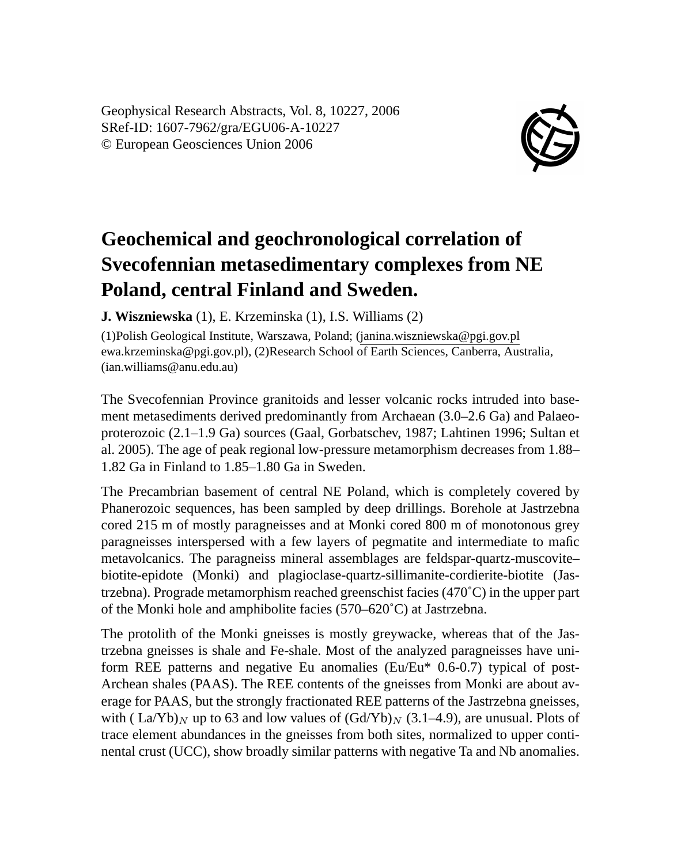Geophysical Research Abstracts, Vol. 8, 10227, 2006 SRef-ID: 1607-7962/gra/EGU06-A-10227 © European Geosciences Union 2006



## **Geochemical and geochronological correlation of Svecofennian metasedimentary complexes from NE Poland, central Finland and Sweden.**

**J. Wiszniewska** (1), E. Krzeminska (1), I.S. Williams (2)

(1)Polish Geological Institute, Warszawa, Poland; (janina.wiszniewska@pgi.gov.pl ewa.krzeminska@pgi.gov.pl), (2)Research School of Earth Sciences, Canberra, Australia, (ian.williams@anu.edu.au)

The Svecofennian Province granitoids and lesser volcanic rocks intruded into basement metasediments derived predominantly from Archaean (3.0–2.6 Ga) and Palaeoproterozoic (2.1–1.9 Ga) sources (Gaal, Gorbatschev, 1987; Lahtinen 1996; Sultan et al. 2005). The age of peak regional low-pressure metamorphism decreases from 1.88– 1.82 Ga in Finland to 1.85–1.80 Ga in Sweden.

The Precambrian basement of central NE Poland, which is completely covered by Phanerozoic sequences, has been sampled by deep drillings. Borehole at Jastrzebna cored 215 m of mostly paragneisses and at Monki cored 800 m of monotonous grey paragneisses interspersed with a few layers of pegmatite and intermediate to mafic metavolcanics. The paragneiss mineral assemblages are feldspar-quartz-muscovite– biotite-epidote (Monki) and plagioclase-quartz-sillimanite-cordierite-biotite (Jastrzebna). Prograde metamorphism reached greenschist facies (470˚C) in the upper part of the Monki hole and amphibolite facies (570–620˚C) at Jastrzebna.

The protolith of the Monki gneisses is mostly greywacke, whereas that of the Jastrzebna gneisses is shale and Fe-shale. Most of the analyzed paragneisses have uniform REE patterns and negative Eu anomalies (Eu/Eu\* 0.6-0.7) typical of post-Archean shales (PAAS). The REE contents of the gneisses from Monki are about average for PAAS, but the strongly fractionated REE patterns of the Jastrzebna gneisses, with ( La/Yb)<sub>N</sub> up to 63 and low values of  $(\text{Gd/Yb})_N$  (3.1–4.9), are unusual. Plots of trace element abundances in the gneisses from both sites, normalized to upper continental crust (UCC), show broadly similar patterns with negative Ta and Nb anomalies.